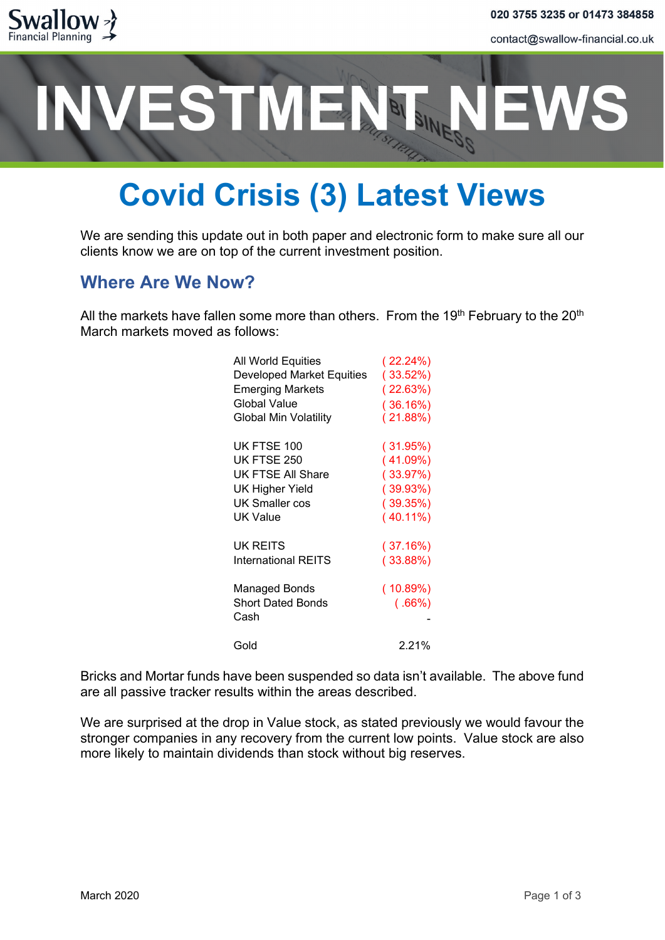

contact@swallow-financial.co.uk

# ESTMENT.

### **Covid Crisis (3) Latest Views**

We are sending this update out in both paper and electronic form to make sure all our clients know we are on top of the current investment position.

### **Where Are We Now?**

All the markets have fallen some more than others. From the 19<sup>th</sup> February to the 20<sup>th</sup> March markets moved as follows:

| All World Equities           | $(22.24\%)$ |
|------------------------------|-------------|
| Developed Market Equities    | (33.52%)    |
| <b>Emerging Markets</b>      | (22.63%)    |
| Global Value                 | (36.16%)    |
| <b>Global Min Volatility</b> | (21.88%)    |
|                              |             |
| UK FTSE 100                  | (31.95%)    |
| UK FTSE 250                  | (41.09%)    |
| UK FTSE All Share            | (33.97%)    |
| UK Higher Yield              | (39.93%)    |
| UK Smaller cos               | (39.35%)    |
| UK Value                     | $(40.11\%)$ |
| <b>UK REITS</b>              | (37.16%)    |
| International REITS          | (33.88%)    |
|                              |             |
| <b>Managed Bonds</b>         | (10.89%)    |
| <b>Short Dated Bonds</b>     | (.66%)      |
| Cash                         |             |
| Gold                         | 2.21%       |
|                              |             |

Bricks and Mortar funds have been suspended so data isn't available. The above fund are all passive tracker results within the areas described.

We are surprised at the drop in Value stock, as stated previously we would favour the stronger companies in any recovery from the current low points. Value stock are also more likely to maintain dividends than stock without big reserves.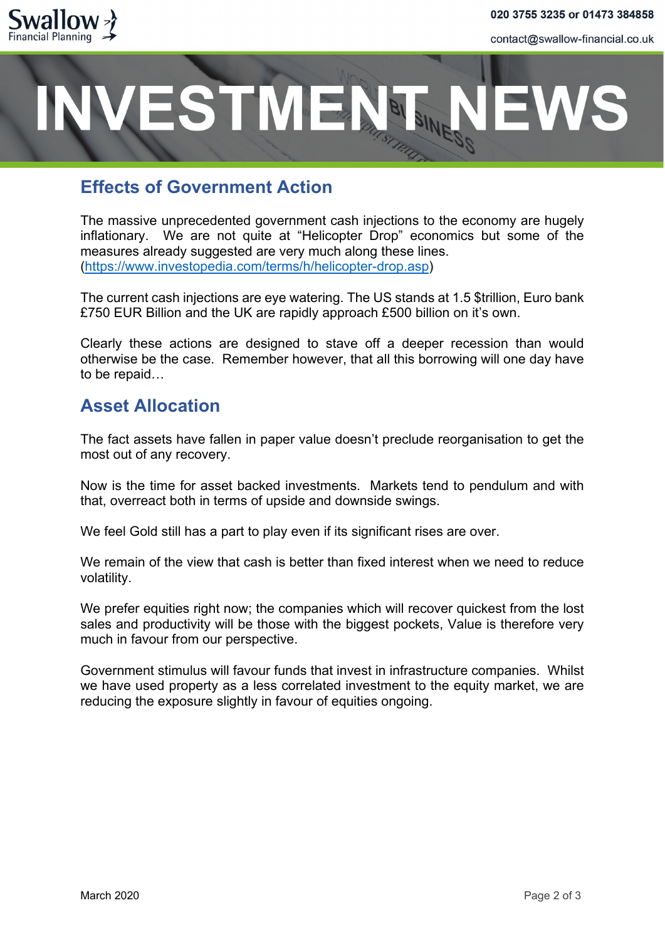

contact@swallow-financial.co.uk

## **ESTMENT**

### **Effects of Government Action**

The massive unprecedented government cash injections to the economy are hugely inflationary. We are not quite at "Helicopter Drop" economics but some of the measures already suggested are very much along these lines. [\(https://www.investopedia.com/terms/h/helicopter-drop.asp\)](https://www.investopedia.com/terms/h/helicopter-drop.asp)

The current cash injections are eye watering. The US stands at 1.5 \$trillion, Euro bank £750 EUR Billion and the UK are rapidly approach £500 billion on it's own.

Clearly these actions are designed to stave off a deeper recession than would otherwise be the case. Remember however, that all this borrowing will one day have to be repaid…

#### **Asset Allocation**

The fact assets have fallen in paper value doesn't preclude reorganisation to get the most out of any recovery.

Now is the time for asset backed investments. Markets tend to pendulum and with that, overreact both in terms of upside and downside swings.

We feel Gold still has a part to play even if its significant rises are over.

We remain of the view that cash is better than fixed interest when we need to reduce volatility.

We prefer equities right now; the companies which will recover quickest from the lost sales and productivity will be those with the biggest pockets, Value is therefore very much in favour from our perspective.

Government stimulus will favour funds that invest in infrastructure companies. Whilst we have used property as a less correlated investment to the equity market, we are reducing the exposure slightly in favour of equities ongoing.